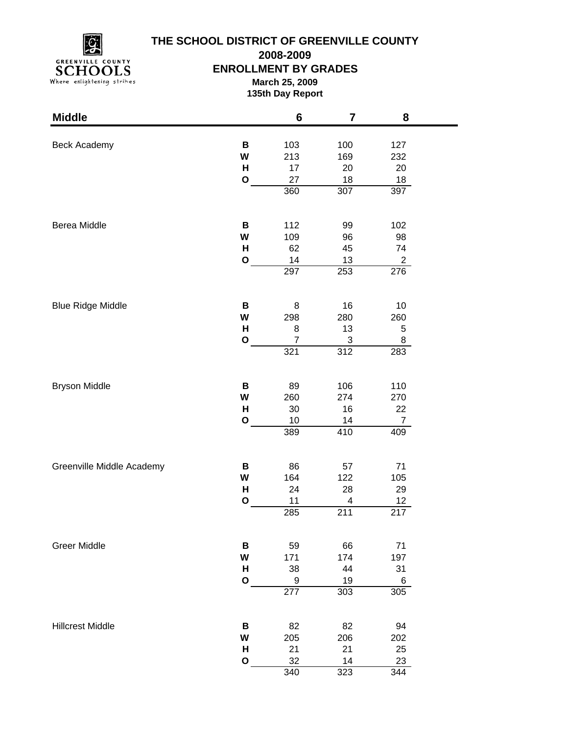

# **THE SCHOOL DISTRICT OF GREENVILLE COUNTY**

**2008-2009**

#### **ENROLLMENT BY GRADES**

**March 25, 2009 135th Day Report**

| <b>Middle</b>             |              | 6                | 7          | 8              |  |
|---------------------------|--------------|------------------|------------|----------------|--|
|                           |              |                  |            |                |  |
| Beck Academy              | В<br>W       | 103<br>213       | 100<br>169 | 127<br>232     |  |
|                           | н            | 17               | 20         | 20             |  |
|                           | $\mathbf{o}$ | 27               | 18         | 18             |  |
|                           |              | 360              | 307        | 397            |  |
|                           |              |                  |            |                |  |
| Berea Middle              | В            | 112              | 99         | 102            |  |
|                           | W            | 109              | 96         | 98             |  |
|                           | Н            | 62               | 45         | 74             |  |
|                           | $\mathbf{o}$ | 14               | 13         | $\overline{c}$ |  |
|                           |              | 297              | 253        | 276            |  |
| <b>Blue Ridge Middle</b>  | B            | 8                | 16         | 10             |  |
|                           | W            | 298              | 280        | 260            |  |
|                           | H            | 8                | 13         | 5              |  |
|                           | $\mathbf{o}$ | $\overline{7}$   | 3          | 8              |  |
|                           |              | 321              | 312        | 283            |  |
|                           |              |                  |            |                |  |
| <b>Bryson Middle</b>      | В            | 89               | 106        | 110            |  |
|                           | W            | 260              | 274        | 270            |  |
|                           | н            | 30               | 16         | 22             |  |
|                           | $\mathbf{o}$ | 10               | 14         | $\overline{7}$ |  |
|                           |              | 389              | 410        | 409            |  |
| Greenville Middle Academy | В            | 86               | 57         | 71             |  |
|                           | W            | 164              | 122        | 105            |  |
|                           | H            | 24               | 28         | 29             |  |
|                           | $\mathbf{o}$ | 11               | 4          | 12             |  |
|                           |              | 285              | 211        | 217            |  |
| <b>Greer Middle</b>       | В            | 59               | 66         | 71             |  |
|                           | W            | 171              | 174        | 197            |  |
|                           | н            | 38               | 44         | 31             |  |
|                           | $\mathbf O$  | 9                | 19         | 6              |  |
|                           |              | $\overline{277}$ | 303        | 305            |  |
| <b>Hillcrest Middle</b>   | В            | 82               | 82         | 94             |  |
|                           | W            | 205              | 206        | 202            |  |
|                           | H            | 21               | 21         | 25             |  |
|                           | $\mathbf O$  | 32               | 14         | 23             |  |
|                           |              | 340              | 323        | 344            |  |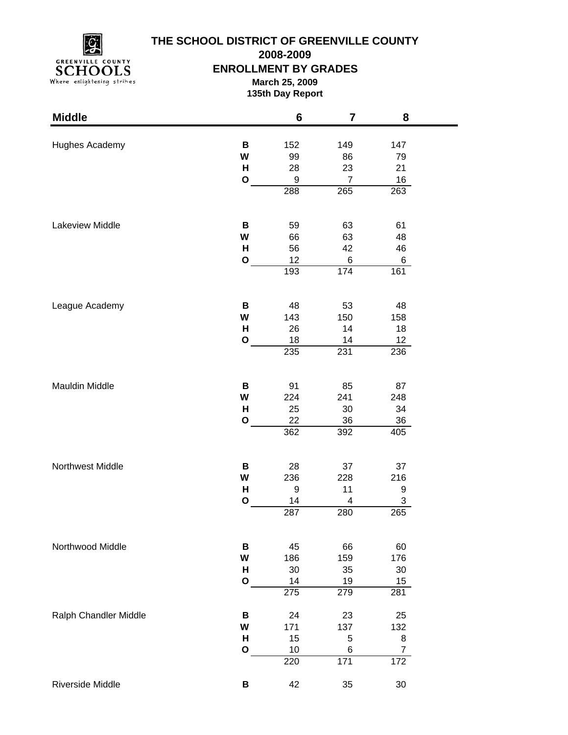

# **THE SCHOOL DISTRICT OF GREENVILLE COUNTY**

**2008-2009**

#### **ENROLLMENT BY GRADES**

**March 25, 2009 135th Day Report**

| <b>Middle</b>         |              | 6                | $\overline{\mathbf{7}}$ | 8                     |  |
|-----------------------|--------------|------------------|-------------------------|-----------------------|--|
|                       |              |                  |                         |                       |  |
| Hughes Academy        | В            | 152              | 149                     | 147                   |  |
|                       | W<br>н       | 99<br>28         | 86<br>23                | 79<br>21              |  |
|                       | $\mathbf{o}$ | $\boldsymbol{9}$ | $\overline{7}$          | 16                    |  |
|                       |              | 288              | 265                     | 263                   |  |
|                       |              |                  |                         |                       |  |
| Lakeview Middle       | В            | 59               | 63                      | 61                    |  |
|                       | W            | 66               | 63                      | 48                    |  |
|                       | H            | 56               | 42                      | 46                    |  |
|                       | $\mathbf{o}$ | 12               | 6                       | 6                     |  |
|                       |              | 193              | 174                     | 161                   |  |
| League Academy        | В            | 48               | 53                      | 48                    |  |
|                       | W            | 143              | 150                     | 158                   |  |
|                       | H            | 26               | 14                      | 18                    |  |
|                       | $\mathbf O$  | 18               | 14                      | 12                    |  |
|                       |              | 235              | 231                     | 236                   |  |
|                       |              |                  |                         |                       |  |
| Mauldin Middle        | В            | 91               | 85                      | 87                    |  |
|                       | W<br>H       | 224              | 241                     | 248                   |  |
|                       | $\mathbf{o}$ | 25<br>22         | 30<br>36                | 34<br>$36\,$          |  |
|                       |              | $\overline{362}$ | 392                     | 405                   |  |
|                       |              |                  |                         |                       |  |
| Northwest Middle      | В            | 28               | 37                      | 37                    |  |
|                       | W            | 236              | 228                     | 216                   |  |
|                       | н            | 9                | 11                      | 9                     |  |
|                       | O            | 14               | 4                       | 3                     |  |
|                       |              | 287              | 280                     | 265                   |  |
| Northwood Middle      | В            | 45               | 66                      | 60                    |  |
|                       | W            | 186              | 159                     | 176                   |  |
|                       | H            | 30               | 35                      | 30                    |  |
|                       | $\mathbf O$  | 14               | 19                      | 15                    |  |
|                       |              | 275              | 279                     | 281                   |  |
| Ralph Chandler Middle | B            | 24               | 23                      | 25                    |  |
|                       | W            | 171              | 137                     | 132                   |  |
|                       | н            | 15               | 5                       | 8                     |  |
|                       | $\mathbf O$  | 10<br>220        | 6<br>171                | $\overline{7}$<br>172 |  |
|                       |              |                  |                         |                       |  |
| Riverside Middle      | В            | 42               | 35                      | 30                    |  |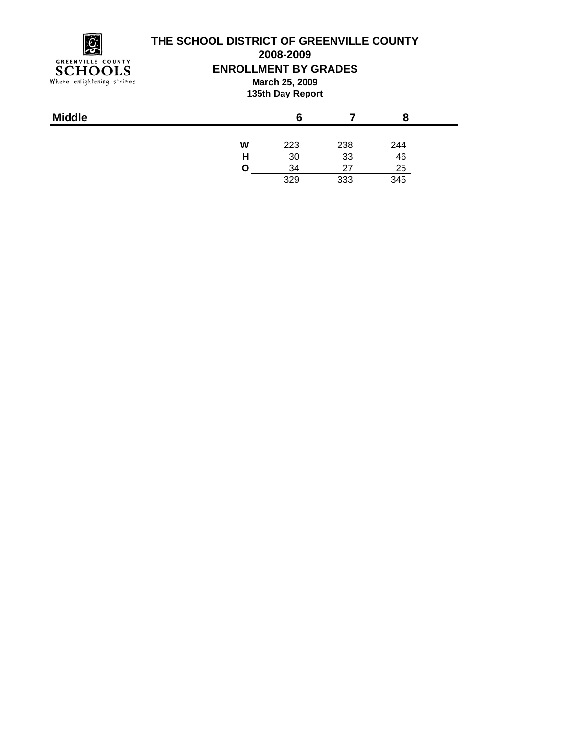$\mathcal{G}$ **GREENVILLE COUNTY** SCHOOLS<br>Where enlightening strikes

# **THE SCHOOL DISTRICT OF GREENVILLE COUNTY**

**2008-2009**

**ENROLLMENT BY GRADES**

**March 25, 2009 135th Day Report**

| <b>Middle</b> |   | 6   |     |     |
|---------------|---|-----|-----|-----|
|               | W | 223 | 238 | 244 |
|               | н | 30  | 33  | 46  |
|               | O | 34  | 27  | 25  |
|               |   | 329 | 333 | 345 |
|               |   |     |     |     |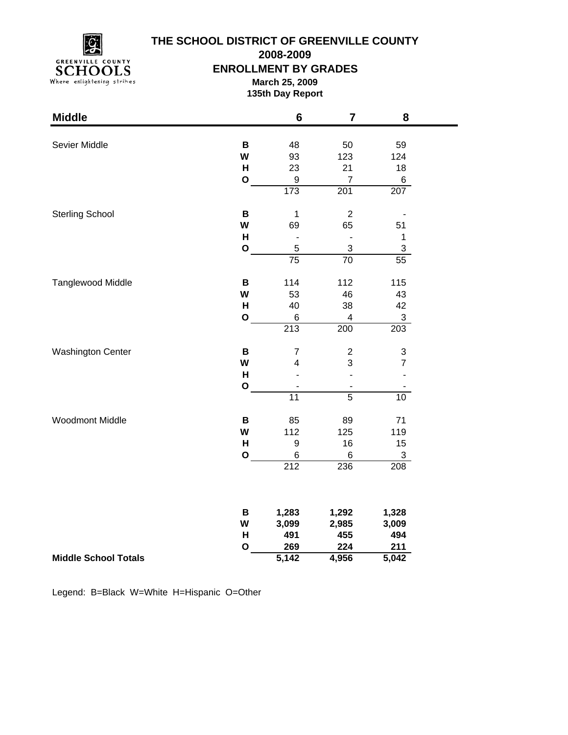**GREENVILLE COUNTY** SCHOOLS<br>Where enlightening strikes

### **THE SCHOOL DISTRICT OF GREENVILLE COUNTY**

**2008-2009**

**ENROLLMENT BY GRADES**

**March 25, 2009 135th Day Report**

| <b>Middle</b>               |              | $6\phantom{1}6$  | $\overline{\mathbf{7}}$   | 8                         |
|-----------------------------|--------------|------------------|---------------------------|---------------------------|
|                             |              |                  |                           |                           |
| Sevier Middle               | $\, {\bf B}$ | 48               | 50                        | 59                        |
|                             | W            | 93               | 123                       | 124                       |
|                             | $\mathsf{H}$ | 23               | 21                        | 18                        |
|                             | $\mathbf{o}$ | $\boldsymbol{9}$ | $\overline{7}$            | $\,6$                     |
|                             |              | 173              | 201                       | 207                       |
| <b>Sterling School</b>      | B            | $\mathbf 1$      | $\overline{c}$            |                           |
|                             | W            | 69               | 65                        | 51                        |
|                             | H            | $\blacksquare$   |                           | $\mathbf{1}$              |
|                             | $\mathbf O$  | 5                | $\ensuremath{\mathsf{3}}$ | $\ensuremath{\mathsf{3}}$ |
|                             |              | $\overline{75}$  | $\overline{70}$           | 55                        |
| Tanglewood Middle           | $\, {\bf B}$ | 114              | 112                       | 115                       |
|                             | W            | 53               | 46                        | 43                        |
|                             | H            | 40               | 38                        | 42                        |
|                             | $\mathbf 0$  | 6                | 4                         | 3                         |
|                             |              | 213              | 200                       | 203                       |
| <b>Washington Center</b>    | $\, {\bf B}$ | $\overline{7}$   | $\overline{\mathbf{c}}$   | $\ensuremath{\mathsf{3}}$ |
|                             | W            | 4                | 3                         | $\overline{7}$            |
|                             | H            |                  |                           |                           |
|                             | $\mathbf{o}$ |                  |                           |                           |
|                             |              | $\overline{11}$  | $\overline{5}$            | 10 <sub>1</sub>           |
| <b>Woodmont Middle</b>      | B            | 85               | 89                        | 71                        |
|                             | W            | 112              | 125                       | 119                       |
|                             | H            | 9                | 16                        | 15                        |
|                             | $\mathbf{o}$ | 6                | $\,6\,$                   | $\ensuremath{\mathsf{3}}$ |
|                             |              | 212              | 236                       | 208                       |
|                             |              |                  |                           |                           |
|                             | B            | 1,283            | 1,292                     | 1,328                     |
|                             | W            | 3,099            | 2,985                     | 3,009                     |
|                             | $\mathsf{H}$ | 491              | 455                       | 494                       |
|                             | O            | 269              | 224                       | 211                       |
| <b>Middle School Totals</b> |              | 5,142            | 4,956                     | 5,042                     |

Legend: B=Black W=White H=Hispanic O=Other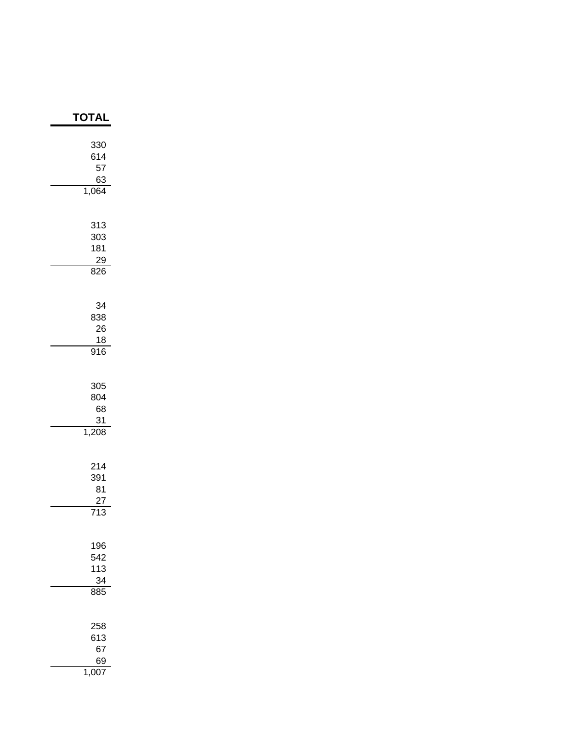| ΓΟΤΑΙ                                      |
|--------------------------------------------|
| 330<br>614<br>57<br>63<br>1,064            |
| 313<br>303<br>181<br>29<br>826             |
| 34<br>838<br>26<br>$\frac{18}{916}$        |
| 305<br>804<br>68<br>31<br>1,208            |
| 214<br>391<br>81<br>27<br>$\overline{713}$ |
| 196<br>542<br>113<br>34<br>885             |
| 258<br>613<br>67<br>69                     |

1,007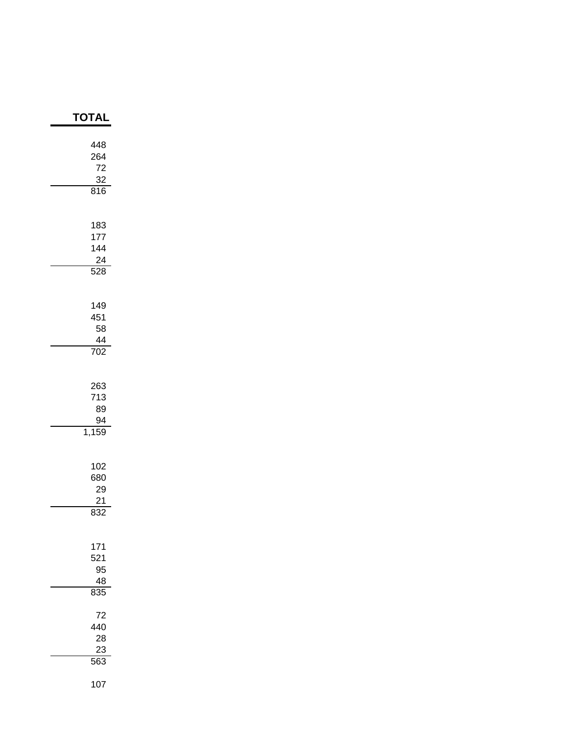| <b>TOTAL</b>                                |
|---------------------------------------------|
| 448<br>264<br>72<br>$\frac{32}{816}$        |
| 183<br>177<br>144<br>24<br>$\overline{528}$ |
| 149<br>451<br>58<br>44<br>$\frac{1}{702}$   |
| 263<br>713<br>89<br>$\frac{94}{1,159}$      |
| 102<br>680<br>29<br>21<br>832               |
| 171<br>521<br>95<br>48<br>835               |
| 72<br>440<br>28<br>23<br>563                |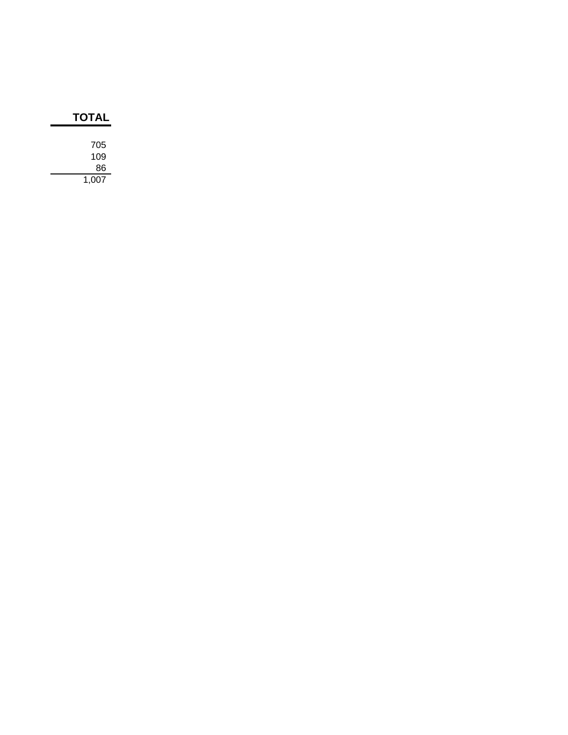| TOTAL |  |
|-------|--|
|       |  |
| 705   |  |
| 109   |  |
| 86    |  |
| 1,007 |  |